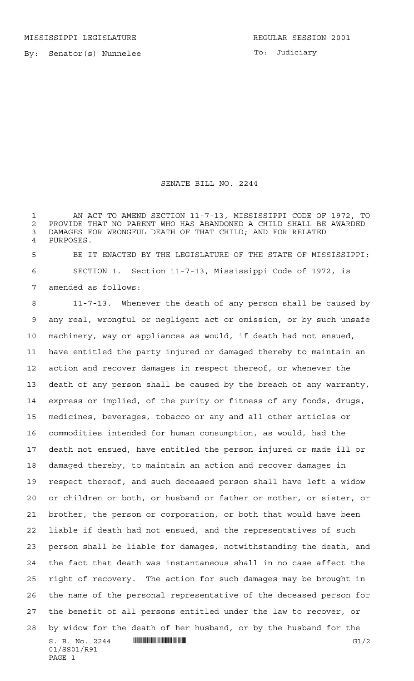To: Judiciary

## SENATE BILL NO. 2244

 AN ACT TO AMEND SECTION 11-7-13, MISSISSIPPI CODE OF 1972, TO 2 PROVIDE THAT NO PARENT WHO HAS ABANDONED A CHILD SHALL BE AWARDED<br>3 DAMAGES FOR WRONGFUL DEATH OF THAT CHILD: AND FOR RELATED DAMAGES FOR WRONGFUL DEATH OF THAT CHILD; AND FOR RELATED PURPOSES.

 BE IT ENACTED BY THE LEGISLATURE OF THE STATE OF MISSISSIPPI: SECTION 1. Section 11-7-13, Mississippi Code of 1972, is amended as follows:

S. B. No. 2244 \*SS01/R91\* G1/2 01/SS01/R91 PAGE 1 11-7-13. Whenever the death of any person shall be caused by any real, wrongful or negligent act or omission, or by such unsafe machinery, way or appliances as would, if death had not ensued, have entitled the party injured or damaged thereby to maintain an action and recover damages in respect thereof, or whenever the death of any person shall be caused by the breach of any warranty, express or implied, of the purity or fitness of any foods, drugs, medicines, beverages, tobacco or any and all other articles or commodities intended for human consumption, as would, had the death not ensued, have entitled the person injured or made ill or damaged thereby, to maintain an action and recover damages in respect thereof, and such deceased person shall have left a widow or children or both, or husband or father or mother, or sister, or brother, the person or corporation, or both that would have been liable if death had not ensued, and the representatives of such person shall be liable for damages, notwithstanding the death, and the fact that death was instantaneous shall in no case affect the right of recovery. The action for such damages may be brought in the name of the personal representative of the deceased person for the benefit of all persons entitled under the law to recover, or by widow for the death of her husband, or by the husband for the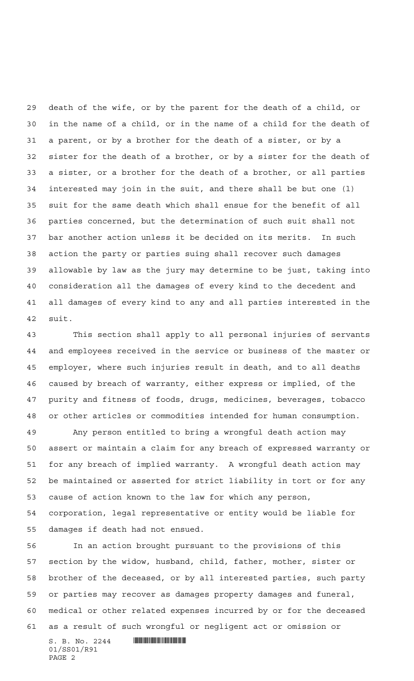death of the wife, or by the parent for the death of a child, or in the name of a child, or in the name of a child for the death of a parent, or by a brother for the death of a sister, or by a sister for the death of a brother, or by a sister for the death of a sister, or a brother for the death of a brother, or all parties interested may join in the suit, and there shall be but one (l) suit for the same death which shall ensue for the benefit of all parties concerned, but the determination of such suit shall not bar another action unless it be decided on its merits. In such action the party or parties suing shall recover such damages allowable by law as the jury may determine to be just, taking into consideration all the damages of every kind to the decedent and all damages of every kind to any and all parties interested in the suit.

 This section shall apply to all personal injuries of servants and employees received in the service or business of the master or employer, where such injuries result in death, and to all deaths caused by breach of warranty, either express or implied, of the purity and fitness of foods, drugs, medicines, beverages, tobacco or other articles or commodities intended for human consumption.

 Any person entitled to bring a wrongful death action may assert or maintain a claim for any breach of expressed warranty or for any breach of implied warranty. A wrongful death action may be maintained or asserted for strict liability in tort or for any cause of action known to the law for which any person,

 corporation, legal representative or entity would be liable for damages if death had not ensued.

 In an action brought pursuant to the provisions of this section by the widow, husband, child, father, mother, sister or brother of the deceased, or by all interested parties, such party or parties may recover as damages property damages and funeral, medical or other related expenses incurred by or for the deceased as a result of such wrongful or negligent act or omission or

 $S. B. No. 2244$  **INSTERNAL FOR A SET AND A SET ASSESS** 01/SS01/R91 PAGE 2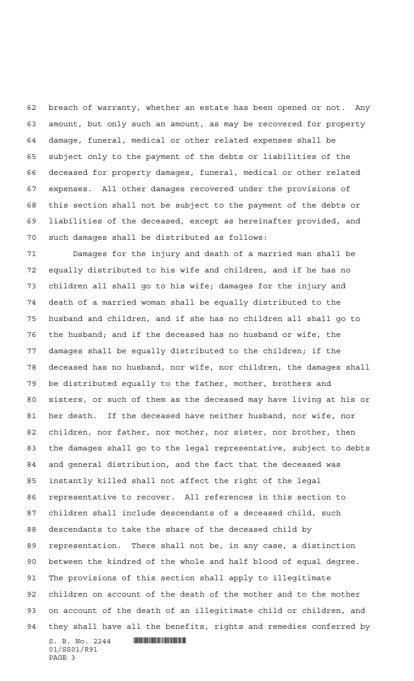breach of warranty, whether an estate has been opened or not. Any amount, but only such an amount, as may be recovered for property damage, funeral, medical or other related expenses shall be subject only to the payment of the debts or liabilities of the deceased for property damages, funeral, medical or other related expenses. All other damages recovered under the provisions of this section shall not be subject to the payment of the debts or liabilities of the deceased, except as hereinafter provided, and such damages shall be distributed as follows:

 $S. B. No. 2244$  **INSTERNAL FOR A SET AND A SET ASSESS**  Damages for the injury and death of a married man shall be equally distributed to his wife and children, and if he has no children all shall go to his wife; damages for the injury and death of a married woman shall be equally distributed to the husband and children, and if she has no children all shall go to the husband; and if the deceased has no husband or wife, the damages shall be equally distributed to the children; if the deceased has no husband, nor wife, nor children, the damages shall be distributed equally to the father, mother, brothers and sisters, or such of them as the deceased may have living at his or her death. If the deceased have neither husband, nor wife, nor children, nor father, nor mother, nor sister, nor brother, then the damages shall go to the legal representative, subject to debts and general distribution, and the fact that the deceased was instantly killed shall not affect the right of the legal representative to recover. All references in this section to children shall include descendants of a deceased child, such descendants to take the share of the deceased child by representation. There shall not be, in any case, a distinction between the kindred of the whole and half blood of equal degree. The provisions of this section shall apply to illegitimate children on account of the death of the mother and to the mother on account of the death of an illegitimate child or children, and they shall have all the benefits, rights and remedies conferred by

01/SS01/R91 PAGE 3